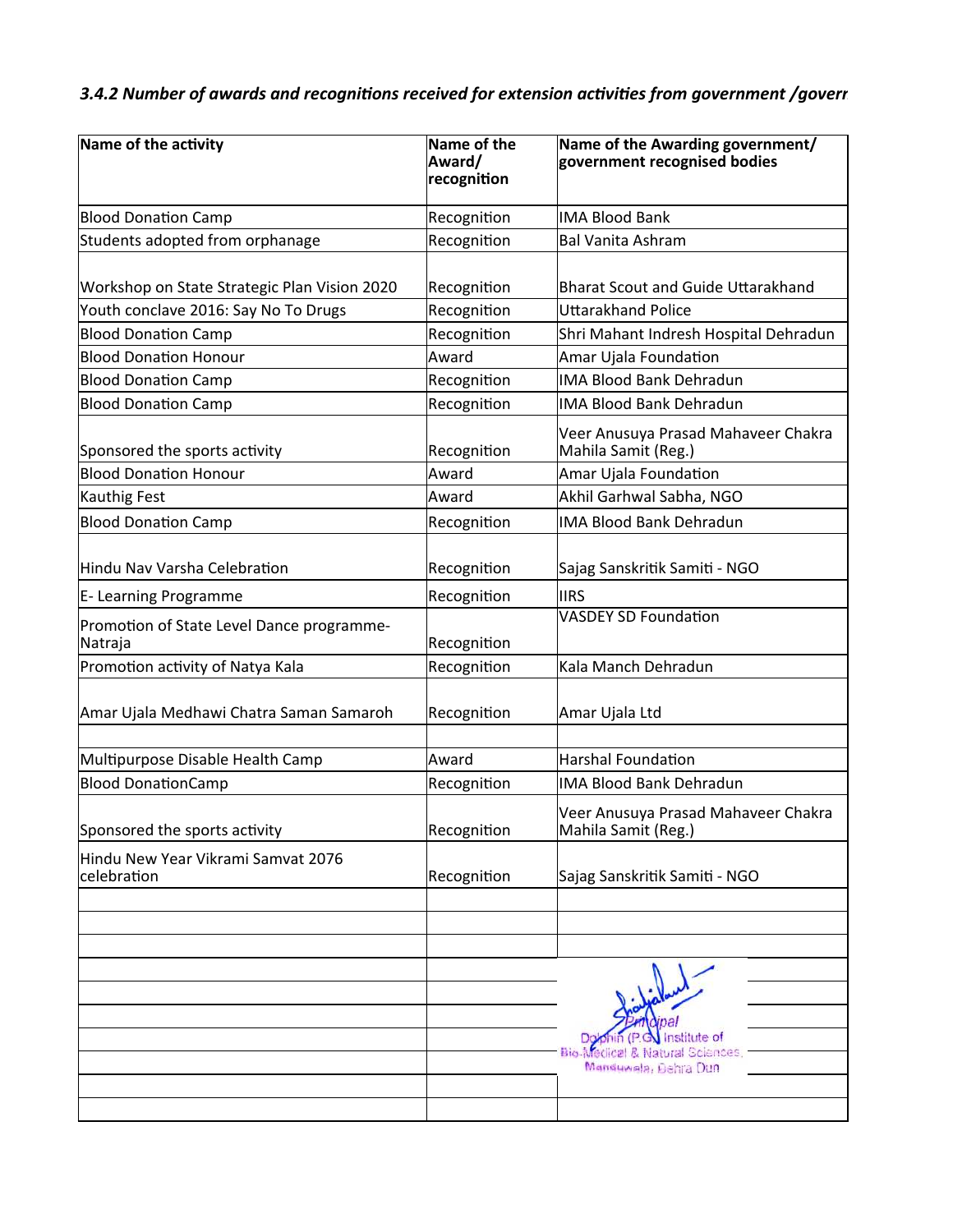## *3.4.2 Number of awards and recognitions received for extension activities from government /goverr*

| Name of the activity                                 | Name of the<br>Award/<br>recognition | Name of the Awarding government/<br>government recognised bodies            |  |
|------------------------------------------------------|--------------------------------------|-----------------------------------------------------------------------------|--|
| <b>Blood Donation Camp</b>                           | Recognition                          | <b>IMA Blood Bank</b>                                                       |  |
| Students adopted from orphanage                      | Recognition                          | <b>Bal Vanita Ashram</b>                                                    |  |
| Workshop on State Strategic Plan Vision 2020         | Recognition                          | <b>Bharat Scout and Guide Uttarakhand</b>                                   |  |
| Youth conclave 2016: Say No To Drugs                 | Recognition                          | <b>Uttarakhand Police</b>                                                   |  |
| <b>Blood Donation Camp</b>                           | Recognition                          | Shri Mahant Indresh Hospital Dehradun                                       |  |
| <b>Blood Donation Honour</b>                         | Award                                | Amar Ujala Foundation                                                       |  |
| <b>Blood Donation Camp</b>                           | Recognition                          | <b>IMA Blood Bank Dehradun</b>                                              |  |
| <b>Blood Donation Camp</b>                           | Recognition                          | <b>IMA Blood Bank Dehradun</b>                                              |  |
| Sponsored the sports activity                        | Recognition                          | Veer Anusuya Prasad Mahaveer Chakra<br>Mahila Samit (Reg.)                  |  |
| <b>Blood Donation Honour</b>                         | Award                                | Amar Ujala Foundation                                                       |  |
| Kauthig Fest                                         | Award                                | Akhil Garhwal Sabha, NGO                                                    |  |
| <b>Blood Donation Camp</b>                           | Recognition                          | <b>IMA Blood Bank Dehradun</b>                                              |  |
| Hindu Nav Varsha Celebration                         | Recognition                          | Sajag Sanskritik Samiti - NGO                                               |  |
| E- Learning Programme                                | Recognition                          | <b>IIRS</b>                                                                 |  |
| Promotion of State Level Dance programme-<br>Natraja | Recognition                          | <b>VASDEY SD Foundation</b>                                                 |  |
| Promotion activity of Natya Kala                     | Recognition                          | Kala Manch Dehradun                                                         |  |
| Amar Ujala Medhawi Chatra Saman Samaroh              | Recognition                          | Amar Ujala Ltd                                                              |  |
| Multipurpose Disable Health Camp                     | Award                                | <b>Harshal Foundation</b>                                                   |  |
| <b>Blood DonationCamp</b>                            | Recognition                          | <b>IMA Blood Bank Dehradun</b>                                              |  |
| Sponsored the sports activity                        | Recognition                          | Veer Anusuya Prasad Mahaveer Chakra<br>Mahila Samit (Reg.)                  |  |
| Hindu New Year Vikrami Samvat 2076<br>celebration    | Recognition                          | Sajag Sanskritik Samiti - NGO                                               |  |
|                                                      |                                      |                                                                             |  |
|                                                      |                                      |                                                                             |  |
|                                                      |                                      | nstitute of<br>Natural Sciences<br><b>BIG MECHO</b><br>Manduwala, Dehra Dun |  |
|                                                      |                                      |                                                                             |  |